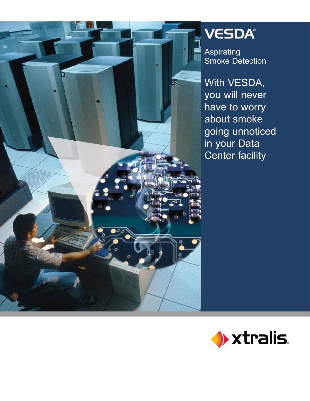

# VESDA®

Aspirating Smoke Detection

With VESDA, you will never have to worry about smoke going unnoticed in your Data Center facility

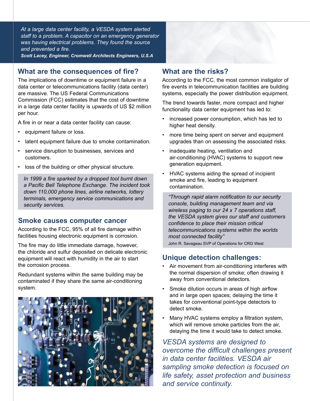*At a large data center facility, a VESDA system alerted staff to a problem. A capacitor on an emergency generator was having electrical problems. They found the source and prevented a fire. Scott Lacey, Engineer, Cromwell Architects Engineers, U.S.A*

### **What are the consequences of fire?**

The implications of downtime or equipment failure in a data center or telecommunications facility (data center) are massive. The US Federal Communications Commission (FCC) estimates that the cost of downtime in a large data center facility is upwards of US \$2 million per hour.

A fire in or near a data center facility can cause:

- equipment failure or loss. •
- latent equipment failure due to smoke contamination. •
- service disruption to businesses, services and customers. •
- loss of the building or other physical structure.

• *In 1999 a fire sparked by a dropped tool burnt down a Pacific Bell Telephone Exchange. The incident took down 110,000 phone lines, airline networks, lottery terminals, emergency service communications and security services.*

#### **Smoke causes computer cancer**

According to the FCC, 95% of all fire damage within facilities housing electronic equipment is corrosion.

The fire may do little immediate damage, however, the chloride and sulfur deposited on delicate electronic equipment will react with humidity in the air to start the corrosion process.

Redundant systems within the same building may be contaminated if they share the same air-conditioning system.



### **What are the risks?**

According to the FCC, the most common instigator of fire events in telecommunication facilities are building systems, especially the power distribution equipment.

The trend towards faster, more compact and higher functionality data center equipment has led to:

- increased power consumption, which has led to higher heat density. •
- more time being spent on server and equipment upgrades than on assessing the associated risks. •
- inadequate heating, ventilation and air-conditioning (HVAC) systems to support new generation equipment.
- HVAC systems aiding the spread of incipient smoke and fire, leading to equipment contamination.

*"Through rapid alarm notification to our security console, building management team and via wireless paging to our 24 x 7 operations staff, the VESDA system gives our staff and customers confidence to place their mission critical telecommunications systems within the worlds most connected facility"* 

John R. Savageau SVP of Operations for CRG West

### **Unique detection challenges:**

- Air movement from air-conditioning interferes with the normal dispersion of smoke; often drawing it away from conventional detectors. •
- Smoke dilution occurs in areas of high airflow and in large open spaces; delaying the time it takes for conventional point-type detectors to detect smoke.
- Many HVAC systems employ a filtration system, which will remove smoke particles from the air, delaying the time it would take to detect smoke.

*VESDA systems are designed to overcome the difficult challenges present in data center facilities. VESDA air sampling smoke detection is focused on life safety, asset protection and business and service continuity.*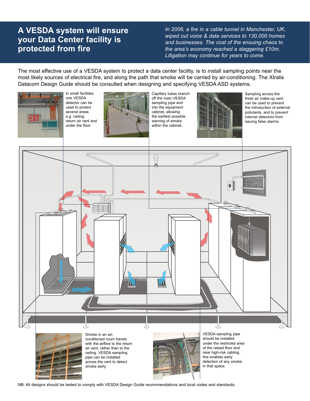### **A VESDA system will ensure your Data Center facility is protected from fire**

*In 2006, a fire in a cable tunnel in Manchester, UK, wiped out voice & data services to 130,000 homes and businesses. The cost of the ensuing chaos to the area's economy reached a staggering £10m. Litigation may continue for years to come.*

The most effective use of a VESDA system to protect a data center facility, is to install sampling points near the most likely sources of electrical fire, and along the path that smoke will be carried by air-conditioning. The Xtralis Datacom Design Guide should be consulted when designing and specifying VESDA ASD systems.



NB: All designs should be tested to comply with VESDA Design Guide recommendations and local codes and standards.